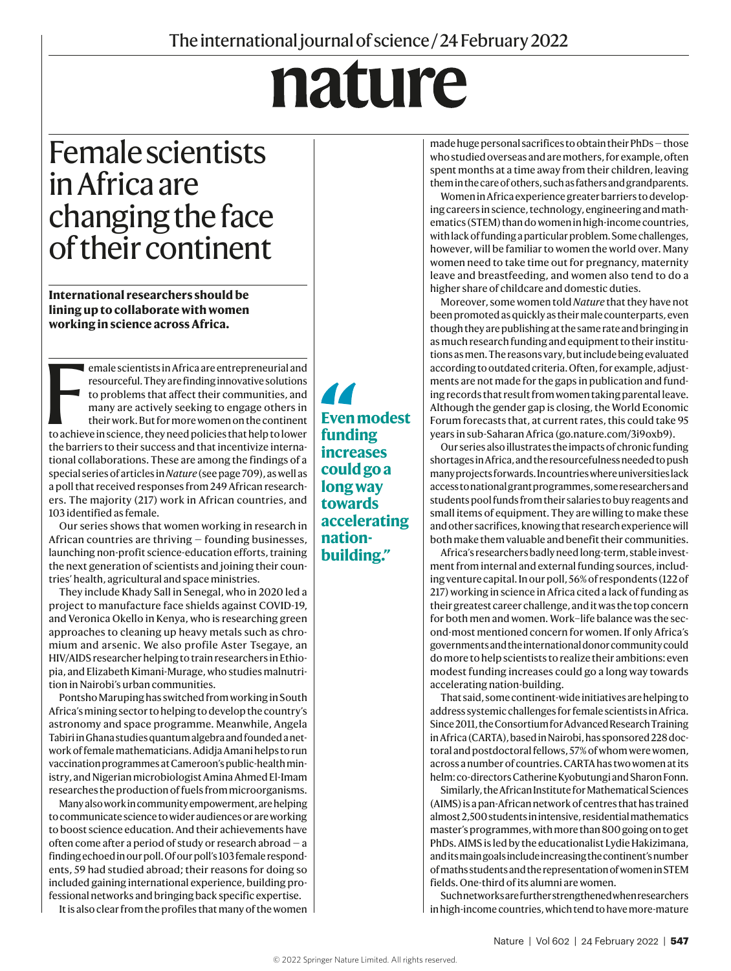## nature

## Female scientists in Africa are changing the face of their continent

**International researchers should be lining up to collaborate with women working in science across Africa.** 

emale scientists in Africa are entrepreneurial and<br>resourceful. They are finding innovative solutions<br>to problems that affect their communities, and<br>many are actively seeking to engage others in<br>their work. But for more wo emale scientists in Africa are entrepreneurial and resourceful. They are finding innovative solutions to problems that affect their communities, and many are actively seeking to engage others in their work. But for more women on the continent the barriers to their success and that incentivize international collaborations. These are among the findings of a special series of articles in *Nature* (see page 709), as well as a poll that received responses from 249 African researchers. The majority (217) work in African countries, and 103 identified as female.

Our series shows that women working in research in African countries are thriving — founding businesses, launching non-profit science-education efforts, training the next generation of scientists and joining their countries' health, agricultural and space ministries.

They include Khady Sall in Senegal, who in 2020 led a project to manufacture face shields against COVID-19, and Veronica Okello in Kenya, who is researching green approaches to cleaning up heavy metals such as chromium and arsenic. We also profile Aster Tsegaye, an HIV/AIDS researcher helping to train researchers in Ethiopia, and Elizabeth Kimani-Murage, who studies malnutrition in Nairobi's urban communities.

Pontsho Maruping has switched from working in South Africa's mining sector to helping to develop the country's astronomy and space programme. Meanwhile, Angela Tabiri in Ghana studies quantum algebra and founded a network of female mathematicians. Adidja Amani helps to run vaccination programmes at Cameroon's public-health ministry, and Nigerian microbiologist Amina Ahmed El-Imam researches the production of fuels from microorganisms.

Many also work in community empowerment, are helping to communicate science to wider audiences or are working to boost science education. And their achievements have often come after a period of study or research abroad — a finding echoed in our poll. Of our poll's 103 female respondents, 59 had studied abroad; their reasons for doing so included gaining international experience, building professional networks and bringing back specific expertise.

It is also clear from the profiles that many of the women

44 **Even modest funding increases could go a long way towards accelerating nationbuilding."**

made huge personal sacrifices to obtain their PhDs — those who studied overseas and are mothers, for example, often spent months at a time away from their children, leaving them in the care of others, such as fathers and grandparents.

Women in Africa experience greater barriers to developing careers in science, technology, engineering and mathematics (STEM) than do women in high-income countries, with lack of funding a particular problem. Some challenges, however, will be familiar to women the world over. Many women need to take time out for pregnancy, maternity leave and breastfeeding, and women also tend to do a higher share of childcare and domestic duties.

Moreover, some women told *Nature* that they have not been promoted as quickly as their male counterparts, even though they are publishing at the same rate and bringing in as much research funding and equipment to their institutions as men. The reasons vary, but include being evaluated according to outdated criteria. Often, for example, adjustments are not made for the gaps in publication and funding records that result from women taking parental leave. Although the gender gap is closing, the World Economic Forum forecasts that, at current rates, this could take 95 years in sub-Saharan Africa (go.nature.com/3i9oxb9).

Our series also illustrates the impacts of chronic funding shortages in Africa, and the resourcefulness needed to push many projects forwards. In countries where universities lack access to national grant programmes, some researchers and students pool funds from their salaries to buy reagents and small items of equipment. They are willing to make these and other sacrifices, knowing that research experience will both make them valuable and benefit their communities.

Africa's researchers badly need long-term, stable investment from internal and external funding sources, including venture capital. In our poll, 56% of respondents (122 of 217) working in science in Africa cited a lack of funding as their greatest career challenge, and it was the top concern for both men and women. Work–life balance was the second-most mentioned concern for women. If only Africa's governments and the international donor community could do more to help scientists to realize their ambitions: even modest funding increases could go a long way towards accelerating nation-building.

That said, some continent-wide initiatives are helping to address systemic challenges for female scientists in Africa. Since 2011, the Consortium for Advanced Research Training in Africa (CARTA), based in Nairobi, has sponsored 228 doctoral and postdoctoral fellows, 57% of whom were women, across a number of countries. CARTA has two women at its helm: co-directors Catherine Kyobutungi and Sharon Fonn.

Similarly, the African Institute for Mathematical Sciences (AIMS) is a pan-African network of centres that has trained almost 2,500 students in intensive, residential mathematics master's programmes, with more than 800 going on to get PhDs. AIMS is led by the educationalist Lydie Hakizimana, and its main goals include increasing the continent's number of maths students and the representation of women in STEM fields. One-third of its alumni are women.

Such networks are further strengthened when researchers in high-income countries, which tend to have more-mature